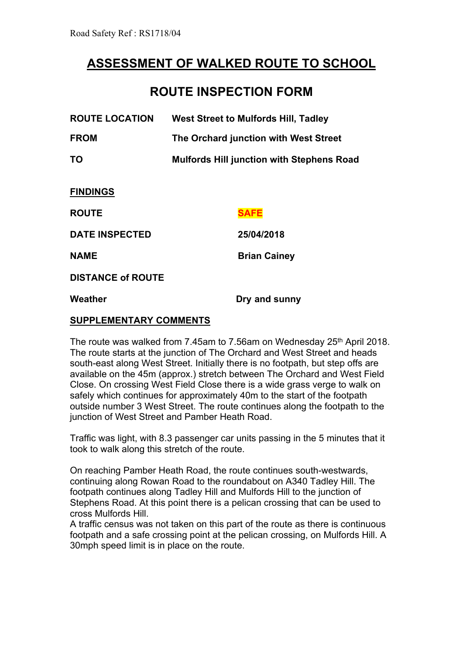## **ASSESSMENT OF WALKED ROUTE TO SCHOOL**

## **ROUTE INSPECTION FORM**

| <b>ROUTE LOCATION</b>         | <b>West Street to Mulfords Hill, Tadley</b>      |
|-------------------------------|--------------------------------------------------|
| <b>FROM</b>                   | The Orchard junction with West Street            |
| ΤO                            | <b>Mulfords Hill junction with Stephens Road</b> |
| <b>FINDINGS</b>               |                                                  |
| <b>ROUTE</b>                  | <b>SAFE</b>                                      |
| <b>DATE INSPECTED</b>         | 25/04/2018                                       |
| <b>NAME</b>                   | <b>Brian Cainey</b>                              |
| <b>DISTANCE of ROUTE</b>      |                                                  |
| Weather                       | Dry and sunny                                    |
| <b>SUPPLEMENTARY COMMENTS</b> |                                                  |

The route was walked from 7.45am to 7.56am on Wednesday 25<sup>th</sup> April 2018. The route starts at the junction of The Orchard and West Street and heads south-east along West Street. Initially there is no footpath, but step offs are available on the 45m (approx.) stretch between The Orchard and West Field Close. On crossing West Field Close there is a wide grass verge to walk on safely which continues for approximately 40m to the start of the footpath outside number 3 West Street. The route continues along the footpath to the junction of West Street and Pamber Heath Road.

Traffic was light, with 8.3 passenger car units passing in the 5 minutes that it took to walk along this stretch of the route.

On reaching Pamber Heath Road, the route continues south-westwards, continuing along Rowan Road to the roundabout on A340 Tadley Hill. The footpath continues along Tadley Hill and Mulfords Hill to the junction of Stephens Road. At this point there is a pelican crossing that can be used to cross Mulfords Hill.

A traffic census was not taken on this part of the route as there is continuous footpath and a safe crossing point at the pelican crossing, on Mulfords Hill. A 30mph speed limit is in place on the route.